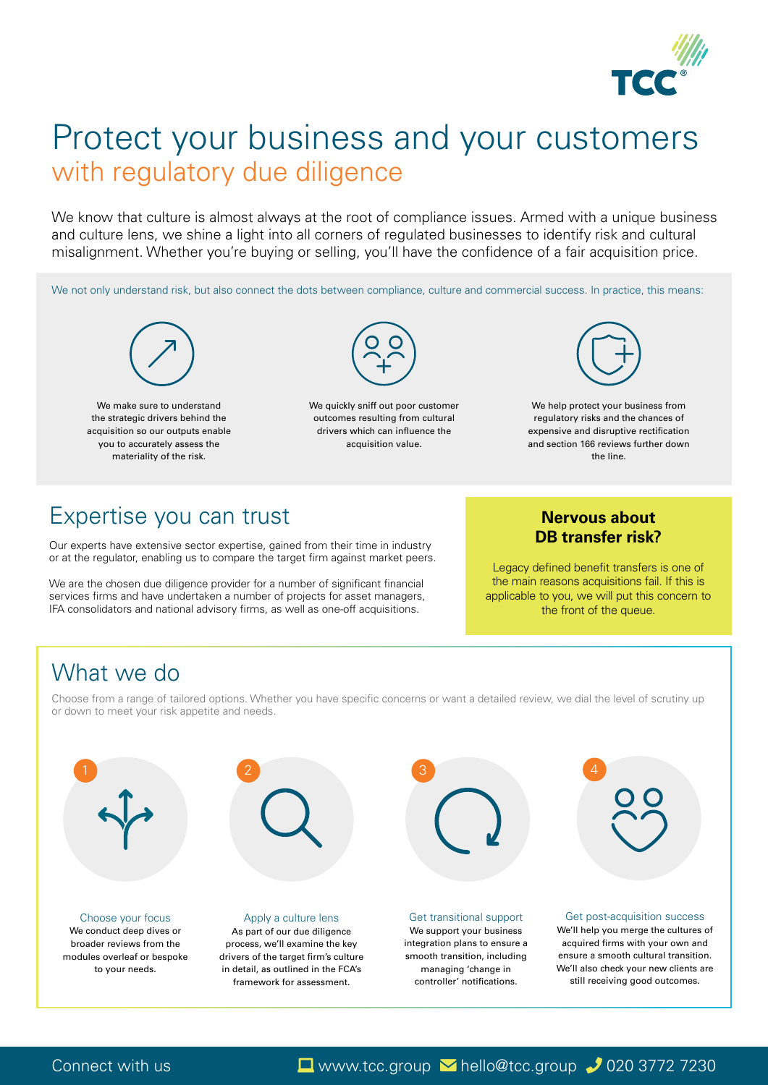

# Protect your business and your customers with regulatory due diligence

We know that culture is almost always at the root of compliance issues. Armed with a unique business and culture lens, we shine a light into all corners of regulated businesses to identify risk and cultural misalignment. Whether you're buying or selling, you'll have the confidence of a fair acquisition price.

We not only understand risk, but also connect the dots between compliance, culture and commercial success. In practice, this means:

We support your business integration plans to ensure a smooth transition, including managing 'change in controller' notifications.

Choose from a range of tailored options. Whether you have specific concerns or want a detailed review, we dial the level of scrutiny up or down to meet your risk appetite and needs.

#### Apply a culture lens

As part of our due diligence process, we'll examine the key drivers of the target firm's culture in detail, as outlined in the FCA's framework for assessment.

#### Get transitional support

#### Choose your focus

We conduct deep dives or broader reviews from the modules overleaf or bespoke to your needs.



We help protect your business from regulatory risks and the chances of expensive and disruptive rectification and section 166 reviews further down the line.



We quickly sniff out poor customer outcomes resulting from cultural drivers which can influence the acquisition value.

## Expertise you can trust

Our experts have extensive sector expertise, gained from their time in industry or at the regulator, enabling us to compare the target firm against market peers.



We are the chosen due diligence provider for a number of significant financial services firms and have undertaken a number of projects for asset managers, IFA consolidators and national advisory firms, as well as one-off acquisitions.



We make sure to understand the strategic drivers behind the acquisition so our outputs enable you to accurately assess the materiality of the risk.

### **Nervous about DB transfer risk?**

Legacy defined benefit transfers is one of the main reasons acquisitions fail. If this is applicable to you, we will put this concern to the front of the queue.

# What we do

#### Get post-acquisition success

We'll help you merge the cultures of acquired firms with your own and ensure a smooth cultural transition. We'll also check your new clients are still receiving good outcomes.

### Connect with us Laptown.tcc.group Musculp whello@tcc.group 3772 7230